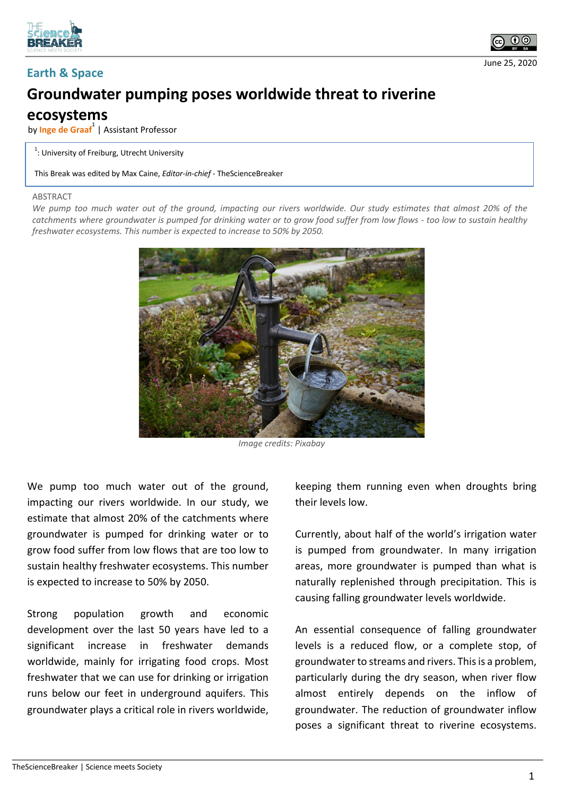



June 25, 2020

## **Groundwater pumping poses worldwide threat to riverine**

## **ecosystems**

by **Inge de Graaf**<sup>1</sup> | Assistant Professor

## $1$ : University of Freiburg, Utrecht University

This Break was edited by Max Caine, *Editor-in-chief* - TheScienceBreaker

## ABSTRACT

*We pump too much water out of the ground, impacting our rivers worldwide. Our study estimates that almost 20% of the catchments where groundwater is pumped for drinking water or to grow food suffer from low flows - too low to sustain healthy freshwater ecosystems. This number is expected to increase to 50% by 2050.*



*Image credits: Pixabay*

We pump too much water out of the ground, impacting our rivers worldwide. In our study, we estimate that almost 20% of the catchments where groundwater is pumped for drinking water or to grow food suffer from low flows that are too low to sustain healthy freshwater ecosystems. This number is expected to increase to 50% by 2050.

Strong population growth and economic development over the last 50 years have led to a significant increase in freshwater demands worldwide, mainly for irrigating food crops. Most freshwater that we can use for drinking or irrigation runs below our feet in underground aquifers. This groundwater plays a critical role in rivers worldwide,

keeping them running even when droughts bring their levels low.

Currently, about half of the world's irrigation water is pumped from groundwater. In many irrigation areas, more groundwater is pumped than what is naturally replenished through precipitation. This is causing falling groundwater levels worldwide.

An essential consequence of falling groundwater levels is a reduced flow, or a complete stop, of groundwater to streams and rivers. This is a problem, particularly during the dry season, when river flow almost entirely depends on the inflow of groundwater. The reduction of groundwater inflow poses a significant threat to riverine ecosystems.